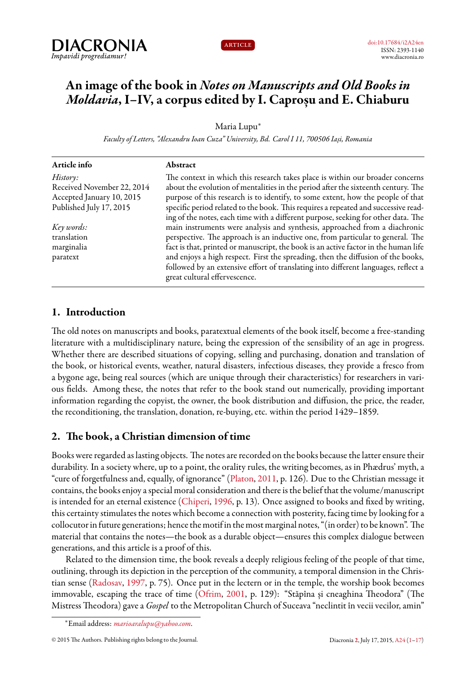



# **An image of the book in** *Notes on Manuscripts and Old Books in Moldavia***, I–IV, a corpus edited by I. Caproșu and E. Chiaburu**

Maria Lupu*<sup>∗</sup>*

*Faculty of Letters, "Alexandru Ioan Cuza" University, Bd. Carol I 11, 700506 Iași, Romania*

| Article info               | Abstract                                                                                                            |
|----------------------------|---------------------------------------------------------------------------------------------------------------------|
| History:                   | The context in which this research takes place is within our broader concerns                                       |
| Received November 22, 2014 | about the evolution of mentalities in the period after the sixteenth century. The                                   |
| Accepted January 10, 2015  | purpose of this research is to identify, to some extent, how the people of that                                     |
| Published July 17, 2015    | specific period related to the book. This requires a repeated and successive read-                                  |
|                            | ing of the notes, each time with a different purpose, seeking for other data. The                                   |
| Key words:                 | main instruments were analysis and synthesis, approached from a diachronic                                          |
| translation                | perspective. The approach is an inductive one, from particular to general. The                                      |
| marginalia                 | fact is that, printed or manuscript, the book is an active factor in the human life                                 |
| paratext                   | and enjoys a high respect. First the spreading, then the diffusion of the books,                                    |
|                            | followed by an extensive effort of translating into different languages, reflect a<br>great cultural effervescence. |

## <span id="page-0-0"></span>**1. Introduction**

The old notes on manuscripts and books, paratextual elements of the book itself, become a free-standing literature with a multidisciplinary nature, being the expression of the sensibility of an age in progress. Whether there are described situations of copying, selling and purchasing, donation and translation of the book, or historical events, weather, natural disasters, infectious diseases, they provide a fresco from a bygone age, being real sources (which are unique through their characteristics) for researchers in various fields. Among these, the notes that refer to the book stand out numerically, providing important information regarding the copyist, the owner, the book distribution and diffusion, the price, the reader, the reconditioning, the translation, donation, re-buying, etc. within the period 1429–1859.

# **2. The book, a Christian dimension of time**

Books were regarded as lasting objects. The notes are recorded on the books because the latter ensure their durability. In a society where, up to a point, the orality rules, the writing becomes, as in Phædrus' myth, a "cure of forgetfulness and, equally, of ignorance"([Platon,](#page-15-1) [2011,](#page-15-1) p. 126). Due to the Christian message it contains, the books enjoy a special moral consideration and there is the belief that the volume/manuscript is intended for an eternal existence([Chiperi](#page-15-2), [1996](#page-15-2), p. 13). Once assigned to books and fixed by writing, this certainty stimulates the notes which become a connection with posterity, facing time by looking for a collocutor infuture generations; hence the motif in the most marginal notes, "(in order) to be known". The material that contains the notes—the book as a durable object—ensures this complex dialogue between generations, and this article is a proof of this.

Related to the dimension time, the book reveals a deeply religious feeling of the people of that time, outlining, through its depiction in the perception of the community, a temporal dimension in the Christian sense [\(Radosav,](#page-16-0) [1997](#page-16-0), p. 75). Once put in the lectern or in the temple, the worship book becomes immovable, escaping the trace of time [\(Ofrim,](#page-15-3) [2001](#page-15-3), p. 129): "Stăpîna și cneaghina Theodora" (The Mistress Theodora) gave a *Gospel* to the Metropolitan Church of Suceava "neclintit în vecii vecilor, amin"

*<sup>∗</sup>*Email address: *[marioaralupu@yahoo.com](mailto:marioaralupu@yahoo.com)*.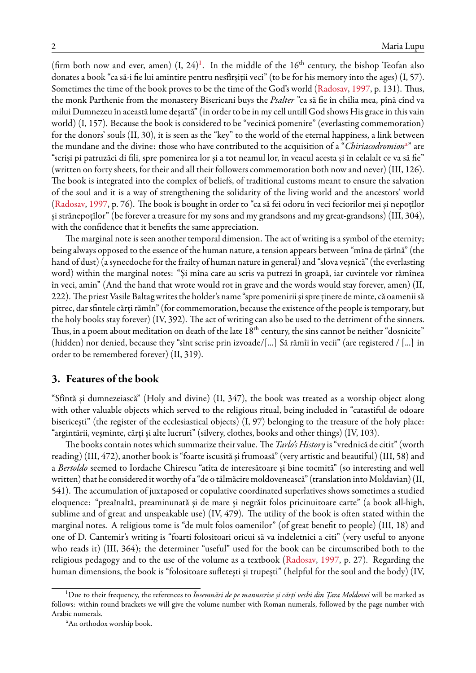(firm both now and ever, amen)  $(I, 24)^1$  $(I, 24)^1$ . In the middle of the  $16<sup>th</sup>$  century, the bishop Teofan also donates a book "ca să-i fie lui amintire pentru nesfîrșiții veci" (to be for his memory into the ages) (I, 57). Sometimes the time of the book proves to be the time of the God's world [\(Radosav](#page-16-0), [1997](#page-16-0), p. 131). Thus, the monk Parthenie from the monastery Bisericani buys the *Psalter* "ca să fie în chilia mea, pînă cînd va milui Dumnezeu în această lume deșartă" (in order to be in my cell untill God shows His grace in this vain world) (I, 157). Because the book is considered to be "vecinică pomenire" (everlasting commemoration) for the donors' souls (II, 30), it is seen as the "key" to the world of the eternal happiness, a link between the mund[a](#page-1-1)ne and the divine: those who have contributed to the acquisition of a "Chiriacodromion<sup>a</sup>" are "scriși pi patruzăci di fili, spre pomenirea lor și a tot neamul lor, în veacul acesta și în celalalt ce va să fie" (written on forty sheets, for their and all their followers commemoration both now and never) (III, 126). The book is integrated into the complex of beliefs, of traditional customs meant to ensure the salvation of the soul and it is a way of strengthening the solidarity of the living world and the ancestors' world ([Radosav](#page-16-0), [1997,](#page-16-0) p. 76). The book is bought in order to "ca să fei odoru în veci feciorilor mei și nepoțîlor și strănepoțîlor" (be forever a treasure for my sons and my grandsons and my great-grandsons) (III, 304), with the confidence that it benefits the same appreciation.

The marginal note is seen another temporal dimension. The act of writing is a symbol of the eternity; being always opposed to the essence of the human nature, a tension appears between "mîna de țărînă" (the hand of dust) (a synecdoche for the frailty of human nature in general) and "slova veșnică" (the everlasting word) within the marginal notes: "Și mîna care au scris va putrezi în groapă, iar cuvintele vor rămînea în veci, amin" (And the hand that wrote would rot in grave and the words would stay forever, amen) (II, 222). The priest Vasile Baltag writes the holder's name "spre pomenirii și spre ținere de minte, că oamenii să pitrec, dar sfintele cărți rămîn" (for commemoration, because the existence of the people is temporary, but the holy books stay forever) (IV, 392). The act of writing can also be used to the detriment of the sinners. Thus, in a poem about meditation on death of the late 18<sup>th</sup> century, the sins cannot be neither "dosnicite" (hidden) nor denied, because they "sînt scrise prin izvoade/[...] Să rămîi în vecii" (are registered / [...] in order to be remembered forever) (II, 319).

#### **3. Features of the book**

"Sfîntă și dumnezeiască" (Holy and divine) (II, 347), the book was treated as a worship object along with other valuable objects which served to the religious ritual, being included in "catastiful de odoare bisericești" (the register of the ecclesiastical objects) (I, 97) belonging to the treasure of the holy place: "argintării, veșminte, cărți și alte lucruri" (silvery, clothes, books and other things) (IV, 103).

The books contain notes which summarize their value. The*Tarlo's History*is "vrednică de citit" (worth reading) (III, 472), another book is "foarte iscusită și frumoasă" (very artistic and beautiful) (III, 58) and a *Bertoldo* seemed to Iordache Chirescu "atîta de interesătoare și bine tocmită" (so interesting and well written) that he considered it worthy of a "de o tălmăcire moldovenească" (translation intoMoldavian) (II, 541). The accumulation of juxtaposed or copulative coordinated superlatives shows sometimes a studied eloquence: "preaînaltă, preaminunată și de mare și negrăit folos pricinuitoare carte" (a book all-high, sublime and of great and unspeakable use) (IV, 479). The utility of the book is often stated within the marginal notes. A religious tome is "de mult folos oamenilor" (of great benefit to people) (III, 18) and one of D. Cantemir's writing is "foarti folositoari oricui să va îndeletnici a citi" (very useful to anyone who reads it) (III, 364); the determiner "useful" used for the book can be circumscribed both to the religious pedagogy and to the use of the volume as a textbook [\(Radosav](#page-16-0), [1997](#page-16-0), p. 27). Regarding the human dimensions, the book is "folositoare sufletești și trupești" (helpful for the soul and the body) (IV,

<span id="page-1-0"></span><sup>&</sup>lt;sup>1</sup>Due to their frequency, the references to *Însemnări de pe manuscrise și cărți vechi din Țara Moldovei* will be marked as follows: within round brackets we will give the volume number with Roman numerals, followed by the page number with Arabic numerals.

<span id="page-1-1"></span><sup>&</sup>lt;sup>a</sup>An orthodox worship book.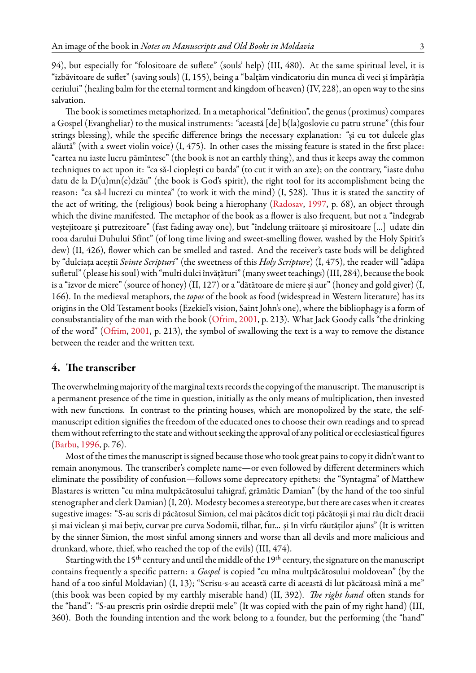94), but especially for "folositoare de suflete" (souls' help) (III, 480). At the same spiritual level, it is "izbăvitoare de suflet" (saving souls) (I, 155), being a "balțăm vindicatoriu din munca di veci și împărăția ceriului" (healing balm for the eternal torment and kingdom of heaven) (IV, 228), an open way to the sins salvation.

The book is sometimes metaphorized. In a metaphorical "definition", the genus (proximus) compares a Gospel (Evangheliar) to the musical instruments: "această [de] b(la)goslovie cu patru strune" (this four strings blessing), while the specific difference brings the necessary explanation: "și cu tot dulcele glas alăută" (with a sweet violin voice) (I, 475). In other cases the missing feature is stated in the first place: "cartea nu iaste lucru pămîntesc" (the book is not an earthly thing), and thus it keeps away the common techniques to act upon it: "ca să-l cioplești cu barda" (to cut it with an axe); on the contrary, "iaste duhu datu de la D(u)mn(e)dzău" (the book is God's spirit), the right tool for its accomplishment being the reason: "ca să-l lucrezi cu mintea" (to work it with the mind) (I, 528). Thus it is stated the sanctity of the act of writing, the (religious) book being a hierophany [\(Radosav](#page-16-0), [1997](#page-16-0), p. 68), an object through which the divine manifested. The metaphor of the book as a flower is also frequent, but not a "îndegrab veștejitoare și putrezitoare" (fast fading away one), but "îndelung trăitoare și mirositoare [...] udate din rooa darului Duhului Sfînt" (of long time living and sweet-smelling flower, washed by the Holy Spirit's dew) (II, 426), flower which can be smelled and tasted. And the receiver's taste buds will be delighted by "dulciața aceștii *Svinte Scripturi*" (the sweetness of this *Holy Scripture*) (I, 475), the reader will "adăpa sufletul" (please his soul) with "multi dulci învățături" (many sweet teachings) (III, 284), because the book is a "izvor de miere" (source of honey) (II, 127) or a "dătătoare de miere și aur" (honey and gold giver) (I, 166). In the medieval metaphors, the *topos* of the book as food (widespread in Western literature) has its origins in the Old Testament books (Ezekiel's vision, Saint John's one), where the bibliophagy is a form of consubstantiality of the man with the book [\(Ofrim](#page-15-3), [2001](#page-15-3), p. 213). What Jack Goody calls "the drinking of the word" [\(Ofrim](#page-15-3), [2001](#page-15-3), p. 213), the symbol of swallowing the text is a way to remove the distance between the reader and the written text.

#### **4. The transcriber**

The overwhelming majority of the marginal texts records the copying of the manuscript. The manuscript is a permanent presence of the time in question, initially as the only means of multiplication, then invested with new functions. In contrast to the printing houses, which are monopolized by the state, the selfmanuscript edition signifies the freedom of the educated ones to choose their own readings and to spread them without referring to the state and without seeking the approval of any political or ecclesiastical figures ([Barbu](#page-15-4), [1996](#page-15-4), p. 76).

Most of the times the manuscript is signed because those who took great pains to copy it didn't want to remain anonymous. The transcriber's complete name—or even followed by different determiners which eliminate the possibility of confusion—follows some deprecatory epithets: the "Syntagma" of Matthew Blastares is written "cu mîna multpăcătosului tahigraf, grămătic Damian" (by the hand of the too sinful stenographer and clerk Damian) (I, 20). Modesty becomes a stereotype, but there are cases when it creates sugestive images: "S-au scris di păcătosul Simion, cel mai păcătos dicît toți păcătoșii și mai rău dicît dracii și mai viclean și mai bețiv, curvar pre curva Sodomii, tîlhar, fur... și în vîrfu răutăților ajuns" (It is written by the sinner Simion, the most sinful among sinners and worse than all devils and more malicious and drunkard, whore, thief, who reached the top of the evils) (III, 474).

Starting with the 15<sup>th</sup> century and until the middle of the 19<sup>th</sup> century, the signature on the manuscript contains frequently a specific pattern: a *Gospel* is copied "cu mîna multpăcătosului moldovean" (by the hand of a too sinful Moldavian) (I, 13); "Scrisu-s-au această carte di această di lut păcătoasă mînă a me" (this book was been copied by my earthly miserable hand) (II, 392). *The right hand* often stands for the "hand": "S-au prescris prin osîrdie dreptii mele" (It was copied with the pain of my right hand) (III, 360). Both the founding intention and the work belong to a founder, but the performing (the "hand"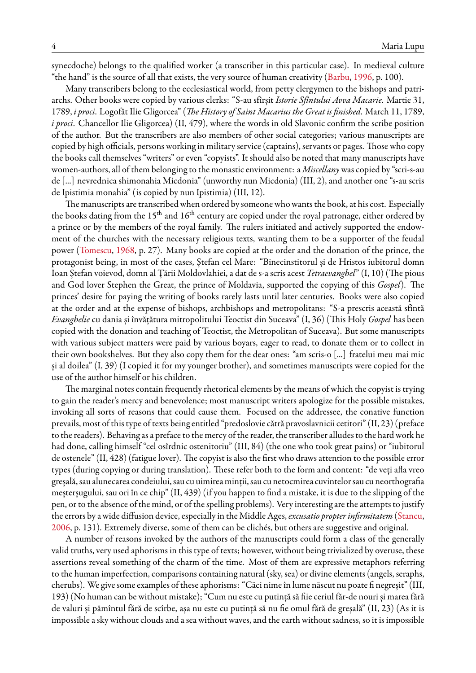synecdoche) belongs to the qualified worker (a transcriber in this particular case). In medieval culture "the hand" is the source of all that exists, the very source of human creativity([Barbu](#page-15-4), [1996](#page-15-4), p. 100).

Many transcribers belong to the ecclesiastical world, from petty clergymen to the bishops and patriarchs. Other books were copied by various clerks: "S-au sfîrșit *Istorie Sfîntului Avva Macarie*. Martie 31, 1789, *i proci*. Logofăt Ilie Gligorcea" (*The History of Saint Macarius the Great is finished*. March 11, 1789, *i proci*. Chancellor Ilie Gligorcea) (II, 479), where the words in old Slavonic confirm the scribe position of the author. But the transcribers are also members of other social categories; various manuscripts are copied by high officials, persons working in military service (captains), servants or pages. Those who copy the books call themselves "writers" or even "copyists". It should also be noted that many manuscripts have women-authors, all of them belonging to the monastic environment: a *Miscellany* was copied by "scri-s-au de [...] nevrednica shimonahia Micdonia" (unworthy nun Micdonia) (III, 2), and another one "s-au scris de Ipistimia monahia" (is copied by nun Ipistimia) (III, 12).

The manuscripts are transcribed when ordered by someone who wants the book, at his cost. Especially the books dating from the 15<sup>th</sup> and 16<sup>th</sup> century are copied under the royal patronage, either ordered by a prince or by the members of the royal family. The rulers initiated and actively supported the endowment of the churches with the necessary religious texts, wanting them to be a supporter of the feudal power([Tomescu,](#page-16-1) [1968](#page-16-1), p. 27). Many books are copied at the order and the donation of the prince, the protagonist being, in most of the cases, Ștefan cel Mare: "Binecinstitorul și de Hristos iubitorul domn Ioan Ștefan voievod, domn al Țării Moldovlahiei, a dat de s-a scris acest *Tetraevanghel*" (I, 10) (The pious and God lover Stephen the Great, the prince of Moldavia, supported the copying of this *Gospel*). The princes' desire for paying the writing of books rarely lasts until later centuries. Books were also copied at the order and at the expense of bishops, archbishops and metropolitans: "S-a prescris această sfîntă *Evanghelie* cu dania și învățătura mitropolitului Teoctist din Suceava" (I, 36) (This Holy *Gospel* has been copied with the donation and teaching of Teoctist, the Metropolitan of Suceava). But some manuscripts with various subject matters were paid by various boyars, eager to read, to donate them or to collect in their own bookshelves. But they also copy them for the dear ones: "am scris-o [...] fratelui meu mai mic și al doilea" (I, 39) (I copied it for my younger brother), and sometimes manuscripts were copied for the use of the author himself or his children.

The marginal notes contain frequently rhetorical elements by the means of which the copyist is trying to gain the reader's mercy and benevolence; most manuscript writers apologize for the possible mistakes, invoking all sorts of reasons that could cause them. Focused on the addressee, the conative function prevails, most of this type of texts being entitled "predoslovie cătră pravoslavnicii cetitori" (II, 23) (preface to the readers). Behaving as a preface to the mercy of the reader, the transcriber alludes to the hard work he had done, calling himself "cel osîrdnic ostenitoriu" (III, 84) (the one who took great pains) or "iubitorul de ostenele" (II, 428) (fatigue lover). The copyist is also the first who draws attention to the possible error types (during copying or during translation). These refer both to the form and content: "de veți afla vreo greșală, sau alunecarea condeiului, sau cu uimirea minții, sau cu netocmirea cuvintelor sau cu neorthografia meșterșugului, sau ori în ce chip" (II, 439) (if you happen to find a mistake, it is due to the slipping of the pen, or to the absence of the mind, or of the spelling problems). Very interesting are the attempts to justify the errors by a wide diffusion device, especially in the Middle Ages,*excusatio propter infirmitatem* [\(Stancu](#page-16-2), [2006,](#page-16-2) p. 131). Extremely diverse, some of them can be clichés, but others are suggestive and original.

A number of reasons invoked by the authors of the manuscripts could form a class of the generally valid truths, very used aphorisms in this type of texts; however, without being trivialized by overuse, these assertions reveal something of the charm of the time. Most of them are expressive metaphors referring to the human imperfection, comparisons containing natural (sky, sea) or divine elements (angels, seraphs, cherubs). We give some examples of these aphorisms: "Căci nime în lume născut nu poate fi negreșit" (III, 193) (No human can be without mistake); "Cum nu este cu putință să fiie ceriul făr-de nouri și marea fără de valuri și pămîntul fără de scîrbe, așa nu este cu putință să nu fie omul fără de greșală" (II, 23) (As it is impossible a sky without clouds and a sea without waves, and the earth without sadness, so it is impossible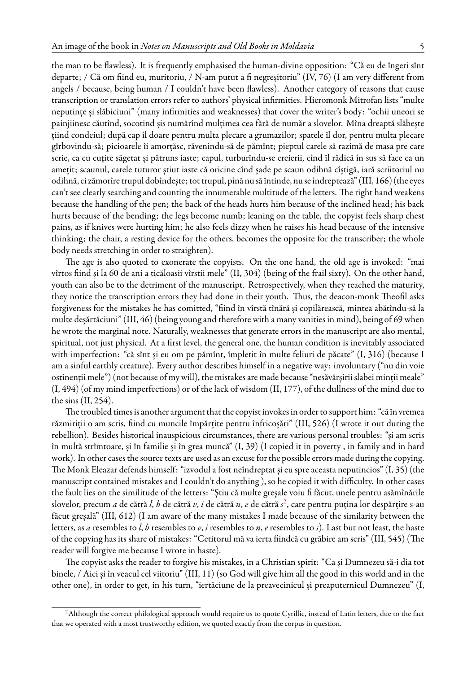the man to be flawless). It is frequently emphasised the human-divine opposition: "Că eu de îngeri sînt departe; / Că om fiind eu, muritoriu, / N-am putut a fi negreșitoriu" (IV, 76) (I am very different from angels / because, being human / I couldn't have been flawless). Another category of reasons that cause transcription or translation errors refer to authors' physical infirmities. Hieromonk Mitrofan lists "multe neputințe și slăbiciuni" (many infirmities and weaknesses) that cover the writer's body: "ochii uneori se painjiinesc căutînd, socotind șis numărînd mulțimea cea fără de număr a slovelor. Mîna dreaptă slăbește țiind condeiul; după cap îl doare pentru multa plecare a grumazilor; spatele îl dor, pentru multa plecare gîrbovindu-să; picioarele îi amorțăsc, răvenindu-să de pămînt; pieptul carele să razimă de masa pre care scrie, ca cu cuțite săgetat și pătruns iaste; capul, turburîndu-se creierii, cînd îl rădică în sus să face ca un amețit; scaunul, carele tuturor știut iaste că oricine cînd șade pe scaun odihnă cîștigă, iară scriitoriul nu odihnă, ci zămorîre trupul dobîndește; tot trupul, pînă nu să întinde, nu se îndreptează" (III, 166) (the eyes can't see clearly searching and counting the innumerable multitude of the letters. The right hand weakens because the handling of the pen; the back of the heads hurts him because of the inclined head; his back hurts because of the bending; the legs become numb; leaning on the table, the copyist feels sharp chest pains, as if knives were hurting him; he also feels dizzy when he raises his head because of the intensive thinking; the chair, a resting device for the others, becomes the opposite for the transcriber; the whole body needs stretching in order to straighten).

The age is also quoted to exonerate the copyists. On the one hand, the old age is invoked: "mai vîrtos fiind și la 60 de ani a ticăloasii vîrstii mele" (II, 304) (being of the frail sixty). On the other hand, youth can also be to the detriment of the manuscript. Retrospectively, when they reached the maturity, they notice the transcription errors they had done in their youth. Thus, the deacon-monk Theofil asks forgiveness for the mistakes he has comitted, "fiind în vîrstă tînără și copilărească, mintea abătîndu-să la multe deșărtăciuni" (III, 46) (being young and therefore with a many vanities in mind), being of 69 when he wrote the marginal note. Naturally, weaknesses that generate errors in the manuscript are also mental, spiritual, not just physical. At a first level, the general one, the human condition is inevitably associated with imperfection: "că sînt și eu om pe pămînt, împletit în multe feliuri de păcate" (I, 316) (because I am a sinful earthly creature). Every author describes himself in a negative way: involuntary ("nu din voie ostinenții mele") (not because of my will), the mistakes are made because "nesăvărșirii slabei minții meale" (I, 494) (of my mind imperfections) or of the lack of wisdom (II, 177), of the dullness of the mind due to the sins (II, 254).

The troubled times is another argument that the copyist invokes in order to support him: "că în vremea răzmiriții o am scris, fiind cu muncile împărțite pentru înfricoșări" (III, 526) (I wrote it out during the rebellion). Besides historical inauspicious circumstances, there are various personal troubles: "și am scris în multă strîmtoare, și în familie și în grea muncă" (I, 39) (I copied it in poverty , in family and in hard work). In other cases the source texts are used as an excuse for the possible errors made during the copying. The Monk Eleazar defends himself: "izvodul a fost neîndreptat și eu spre aceasta neputincios" (I, 35) (the manuscript contained mistakes and I couldn't do anything ), so he copied it with difficulty. In other cases the fault lies on the similitude of the letters: "Știu că multe greșale voiu fi făcut, unele pentru asămînările slovelor, precum *a* de cătră *l*, *b* de cătră *v*, *i* de cătră *n*, *e* de cătră *s* [2](#page-4-0) , care pentru puțina lor despărțire s-au făcut greșală" (III, 612) (I am aware of the many mistakes I made because of the similarity between the letters, as *a* resembles to *l*, *b* resembles to *v*, *i* resembles to *n*, *e* resembles to *s*). Last but not least, the haste of the copying has its share of mistakes: "Cetitorul mă va ierta fiindcă cu grăbire am scris" (III, 545) (The reader will forgive me because I wrote in haste).

The copyist asks the reader to forgive his mistakes, in a Christian spirit: "Ca și Dumnezeu să-i dia tot binele, / Aici și în veacul cel viitoriu" (III, 11) (so God will give him all the good in this world and in the other one), in order to get, in his turn, "iertăciune de la preavecinicul și preaputernicul Dumnezeu" (I,

<span id="page-4-0"></span><sup>&</sup>lt;sup>2</sup>Although the correct philological approach would require us to quote Cyrillic, instead of Latin letters, due to the fact that we operated with a most trustworthy edition, we quoted exactly from the corpus in question.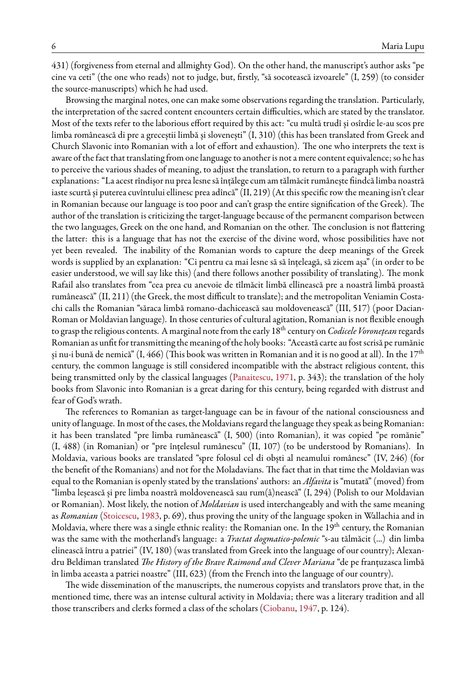431) (forgiveness from eternal and allmighty God). On the other hand, the manuscript's author asks "pe cine va ceti" (the one who reads) not to judge, but, firstly, "să socotească izvoarele" (I, 259) (to consider the source-manuscripts) which he had used.

Browsing the marginal notes, one can make some observations regarding the translation. Particularly, the interpretation of the sacred content encounters certain difficulties, which are stated by the translator. Most of the texts refer to the laborious effort required by this act: "cu multă trudî și osîrdie le-au scos pre limba românească di pre a greceștii limbă și slovenești" (I, 310) (this has been translated from Greek and Church Slavonic into Romanian with a lot of effort and exhaustion). The one who interprets the text is aware of the fact that translating from one language to another is not a mere content equivalence; so he has to perceive the various shades of meaning, to adjust the translation, to return to a paragraph with further explanations: "La acest rîndișor nu prea lesne să înțălege cum am tălmăcit rumânește fiindcă limba noastră iaste scurtă și puterea cuvîntului ellinesc prea adîncă" (II, 219) (At this specific row the meaning isn't clear in Romanian because our language is too poor and can't grasp the entire signification of the Greek). The author of the translation is criticizing the target-language because of the permanent comparison between the two languages, Greek on the one hand, and Romanian on the other. The conclusion is not flattering the latter: this is a language that has not the exercise of the divine word, whose possibilities have not yet been revealed. The inability of the Romanian words to capture the deep meanings of the Greek words is supplied by an explanation: "Ci pentru ca mai lesne să să înțeleagă, să zicem așa" (in order to be easier understood, we will say like this) (and there follows another possibility of translating). The monk Rafail also translates from "cea prea cu anevoie de tîlmăcit limbă ellinească pre a noastră limbă proastă rumânească" (II, 211) (the Greek, the most difficult to translate); and the metropolitan Veniamin Costachi calls the Romanian "săraca limbă romano-dachicească sau moldovenească" (III, 517) (poor Dacian-Roman or Moldavian language). In those centuries of cultural agitation, Romanian is not flexible enough to grasp the religious contents. A marginal note from the early 18th century on*Codicele Voronețean* regards Romanian as unfit for transmitting the meaning of the holy books: "Această carte au fost scrisă pe rumănie și nu-i bună de nemică" (I, 466) (This book was written in Romanian and it is no good at all). In the  $17<sup>th</sup>$ century, the common language is still considered incompatible with the abstract religious content, this being transmitted only by the classical languages [\(Panaitescu,](#page-15-5) [1971,](#page-15-5) p. 343); the translation of the holy books from Slavonic into Romanian is a great daring for this century, being regarded with distrust and fear of God's wrath.

The references to Romanian as target-language can be in favour of the national consciousness and unity of language. In most of the cases, the Moldavians regard the language they speak as being Romanian: it has been translated "pre limba rumănească" (I, 500) (into Romanian), it was copied "pe romănie" (I, 488) (in Romanian) or "pre înțelesul rumânescu" (II, 107) (to be understood by Romanians). In Moldavia, various books are translated "spre folosul cel di obști al neamului românesc" (IV, 246) (for the benefit of the Romanians) and not for the Moladavians. The fact that in that time the Moldavian was equal to the Romanian is openly stated by the translations' authors: an *Alfavita* is "mutată" (moved) from "limba leșească și pre limba noastră moldovenească sau rum(â)nească" (I, 294) (Polish to our Moldavian or Romanian). Most likely, the notion of *Moldavian* is used interchangeably and with the same meaning as *Romanian* [\(Stoicescu](#page-16-3), [1983](#page-16-3), p. 69), thus proving the unity of the language spoken in Wallachia and in Moldavia, where there was a single ethnic reality: the Romanian one. In the 19<sup>th</sup> century, the Romanian was the same with the motherland's language: a *Tractat dogmatico-polemic* "s-au tălmăcit (...) din limba elinească întru a patriei" (IV, 180) (was translated from Greek into the language of our country); Alexandru Beldiman translated *The History of the Brave Raimond and Clever Mariana* "de pe franțuzasca limbă în limba aceasta a patriei noastre" (III, 623) (from the French into the language of our country).

The wide dissemination of the manuscripts, the numerous copyists and translators prove that, in the mentioned time, there was an intense cultural activity in Moldavia; there was a literary tradition and all those transcribers and clerks formed a class of the scholars [\(Ciobanu](#page-15-6), [1947](#page-15-6), p. 124).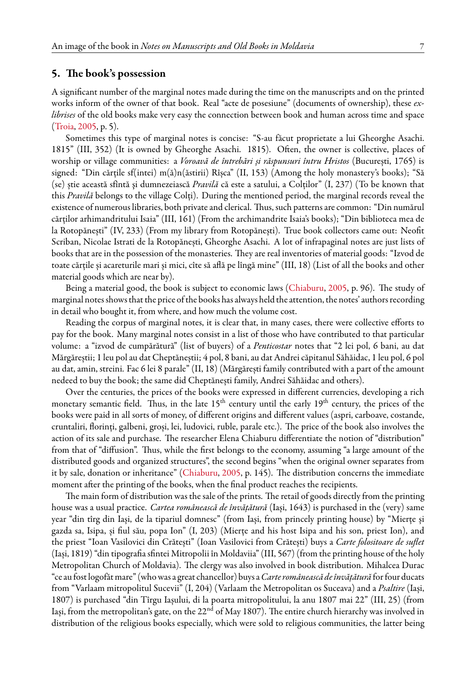#### **5. The book's possession**

A significant number of the marginal notes made during the time on the manuscripts and on the printed works inform of the owner of that book. Real "acte de posesiune" (documents of ownership), these *exlibrises* of the old books make very easy the connection between book and human across time and space ([Troia,](#page-16-4) [2005,](#page-16-4) p. 5).

Sometimes this type of marginal notes is concise: "S-au făcut proprietate a lui Gheorghe Asachi. 1815" (III, 352) (It is owned by Gheorghe Asachi. 1815). Often, the owner is collective, places of worship or village communities: a *Voroavă de întrebări și răspunsuri întru Hristos* (București, 1765) is signed: "Din cărțile sf(intei) m(ă)n(ăstirii) Rîșca" (II, 153) (Among the holy monastery's books); "Să (se) știe această sfîntă şi dumnezeiască *Pravilă* că este a satului, a Colților" (I, 237) (To be known that this *Pravilă* belongs to the village Colți). During the mentioned period, the marginal records reveal the existence of numerous libraries, both private and clerical. Thus, such patterns are common: "Din numărul cărților arhimandritului Isaia" (III, 161) (From the archimandrite Isaia's books); "Din biblioteca mea de la Rotopănești" (IV, 233) (From my library from Rotopănești). True book collectors came out: Neofit Scriban, Nicolae Istrati de la Rotopănești, Gheorghe Asachi. A lot of infrapaginal notes are just lists of books that are in the possession of the monasteries. They are real inventories of material goods: "Izvod de toate cărțile și acareturile mari și mici, cîte să află pe lîngă mine" (III, 18) (List of all the books and other material goods which are near by).

Being a material good, the book is subject to economic laws [\(Chiaburu](#page-15-7), [2005,](#page-15-7) p. 96). The study of marginal notes shows that the price of the books has always held the attention, the notes' authors recording in detail who bought it, from where, and how much the volume cost.

Reading the corpus of marginal notes, it is clear that, in many cases, there were collective efforts to pay for the book. Many marginal notes consist in a list of those who have contributed to that particular volume: a "izvod de cumpărătură" (list of buyers) of a *Penticostar* notes that "2 lei pol, 6 bani, au dat Mărgăreștii; 1 leu pol au dat Cheptăneștii; 4 pol, 8 bani, au dat Andrei căpitanul Săhăidac, 1 leu pol, 6 pol au dat, amin, streini. Fac 6 lei 8 parale" (II, 18) (Mărgărești family contributed with a part of the amount nedeed to buy the book; the same did Cheptănești family, Andrei Săhăidac and others).

Over the centuries, the prices of the books were expressed in different currencies, developing a rich monetary semantic field. Thus, in the late  $15<sup>th</sup>$  century until the early  $19<sup>th</sup>$  century, the prices of the books were paid in all sorts of money, of different origins and different values (aspri, carboave, costande, cruntaliri, florinți, galbeni, groși, lei, ludovici, ruble, parale etc.). The price of the book also involves the action of its sale and purchase. The researcher Elena Chiaburu differentiate the notion of "distribution" from that of "diffusion". Thus, while the first belongs to the economy, assuming "a large amount of the distributed goods and organized structures", the second begins "when the original owner separates from it by sale, donation or inheritance" [\(Chiaburu](#page-15-7), [2005](#page-15-7), p. 145). The distribution concerns the immediate moment after the printing of the books, when the final product reaches the recipients.

The main form of distribution was the sale of the prints. The retail of goods directly from the printing house was a usual practice. *Cartea românească de învățătură* (Iași, 1643) is purchased in the (very) same year "din tîrg din Iași, de la tipariul domnesc" (from Iași, from princely printing house) by "Mierțe și gazda sa, Isipa, și fiul său, popa Ion" (I, 203) (Mierțe and his host Isipa and his son, priest Ion), and the priest "Ioan Vasilovici din Crătești" (Ioan Vasilovici from Crătești) buys a *Carte folositoare de suflet* (Iași, 1819) "din tipografia sfintei Mitropolii în Moldaviia" (III, 567) (from the printing house of the holy Metropolitan Church of Moldavia). The clergy was also involved in book distribution. Mihalcea Durac "ce aufost logofăt mare" (who was a great chancellor) buys a*Carte românească de învățătură* forfour ducats from "Varlaam mitropolitul Sucevii" (I, 204) (Varlaam the Metropolitan os Suceava) and a *Psaltire* (Iași, 1807) is purchased "din Tîrgu Iașului, di la poarta mitropolitului, la anu 1807 mai 22" (III, 25) (from Iași, from the metropolitan's gate, on the 22<sup>nd</sup> of May 1807). The entire church hierarchy was involved in distribution of the religious books especially, which were sold to religious communities, the latter being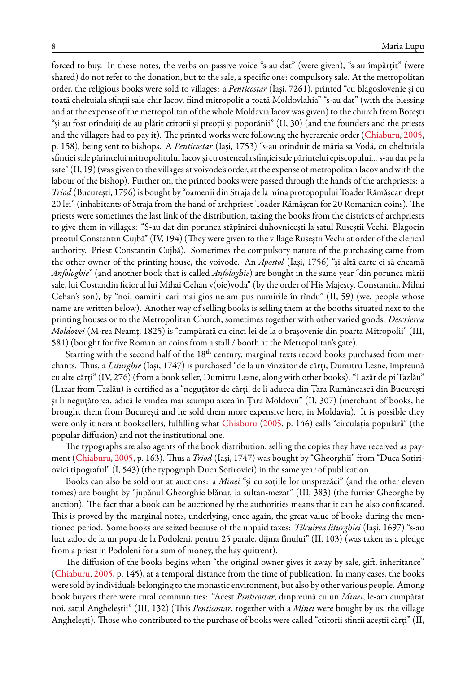forced to buy. In these notes, the verbs on passive voice "s-au dat" (were given), "s-au împărțit" (were shared) do not refer to the donation, but to the sale, a specific one: compulsory sale. At the metropolitan order, the religious books were sold to villages: a *Penticostar* (Iași, 7261), printed "cu blagoslovenie și cu toată cheltuiala sfinții sale chir Iacov, fiind mitropolit a toată Moldovlahia" "s-au dat" (with the blessing and at the expense of the metropolitan of the whole Moldavia Iacov was given) to the church from Botești "și au fost orînduiți de au plătit ctitorii și preoții și poporănii" (II, 30) (and the founders and the priests and the villagers had to pay it). The printed works were following the hyerarchic order [\(Chiaburu](#page-15-7), [2005](#page-15-7), p. 158), being sent to bishops. A *Penticostar* (Iași, 1753) "s-au orînduit de măria sa Vodă, cu cheltuiala sfinției sale părintelui mitropolitului Iacov și cu osteneala sfinției sale părintelui episcopului... s-au dat pe la sate" (II, 19) (was given to the villages at voivode's order, at the expense of metropolitan Iacov and with the labour of the bishop). Further on, the printed books were passed through the hands of the archpriests: a *Triod* (București, 1796) is bought by "oamenii din Straja de la mîna protopopului Toader Rămășcan drept 20 lei" (inhabitants of Straja from the hand of archpriest Toader Rămășcan for 20 Romanian coins). The priests were sometimes the last link of the distribution, taking the books from the districts of archpriests to give them in villages: "S-au dat din porunca stăpînirei duhovnicești la satul Ruseștii Vechi. Blagocin preotul Constantin Cujbă" (IV, 194) (They were given to the village Ruseștii Vechi at order of the clerical authority. Priest Constantin Cujbă). Sometimes the compulsory nature of the purchasing came from the other owner of the printing house, the voivode. An *Apostol* (Iași, 1756) "și altă carte ci să cheamă *Anfologhie*" (and another book that is called *Anfologhie*) are bought in the same year "din porunca mării sale, lui Costandin ficiorul lui Mihai Cehan v(oie)voda" (by the order of His Majesty, Constantin, Mihai Cehan's son), by "noi, oaminii cari mai gios ne-am pus numirile în rîndu" (II, 59) (we, people whose name are written below). Another way of selling books is selling them at the booths situated next to the printing houses or to the Metropolitan Church, sometimes together with other varied goods. *Descrierea Moldovei* (M-rea Neamț, 1825) is "cumpărată cu cinci lei de la o brașovenie din poarta Mitropolii" (III, 581) (bought for five Romanian coins from a stall / booth at the Metropolitan's gate).

Starting with the second half of the 18<sup>th</sup> century, marginal texts record books purchased from merchants. Thus, a *Liturghie* (Iași, 1747) is purchased "de la un vînzător de cărți, Dumitru Lesne, împreună cu alte cărți" (IV, 276) (from a book seller, Dumitru Lesne, along with other books). "Lazăr de pi Tazlău" (Lazar from Tazlău) is certified as a "neguțător de cărți, de li aducea din Țara Rumânească din București și li neguțătorea, adică le vindea mai scumpu aicea în Țara Moldovii" (II, 307) (merchant of books, he brought them from București and he sold them more expensive here, in Moldavia). It is possible they were only itinerant booksellers, fulfilling what [Chiaburu](#page-15-7) [\(2005](#page-15-7), p. 146) calls "circulația populară" (the popular diffusion) and not the institutional one.

The typographs are also agents of the book distribution, selling the copies they have received as payment [\(Chiaburu,](#page-15-7) [2005,](#page-15-7) p. 163). Thus a *Triod* (Iași, 1747) was bought by "Gheorghii" from "Duca Sotiriovici tipograful" (I, 543) (the typograph Duca Sotirovici) in the same year of publication.

Books can also be sold out at auctions: a *Minei* "și cu soțiile lor unsprezăci" (and the other eleven tomes) are bought by "jupănul Gheorghie blănar, la sultan-mezat" (III, 383) (the furrier Gheorghe by auction). The fact that a book can be auctioned by the authorities means that it can be also confiscated. This is proved by the marginal notes, underlying, once again, the great value of books during the mentioned period. Some books are seized because of the unpaid taxes: *Tîlcuirea liturghiei* (Iași, 1697) "s-au luat zaloc de la un popa de la Podoleni, pentru 25 parale, dijma fînului" (II, 103) (was taken as a pledge from a priest in Podoleni for a sum of money, the hay quitrent).

The diffusion of the books begins when "the original owner gives it away by sale, gift, inheritance" ([Chiaburu,](#page-15-7) [2005,](#page-15-7) p. 145), at a temporal distance from the time of publication. In many cases, the books were sold by individuals belonging to the monastic environment, but also by other various people. Among book buyers there were rural communities: "Acest *Pinticostar*, dinpreună cu un *Minei*, le-am cumpărat noi, satul Angheleștii" (III, 132) (This *Penticostar*, together with a *Minei* were bought by us, the village Anghelești). Those who contributed to the purchase of books were called "ctitorii sfintii aceștii cărți" (II,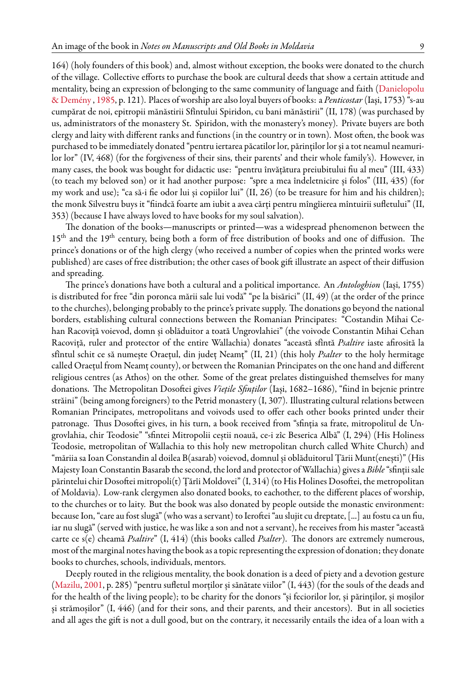353) (because I have always loved to have books for my soul salvation).

164) (holy founders of this book) and, almost without exception, the books were donated to the church of the village. Collective efforts to purchase the book are cultural deeds that show a certain attitude and mentality, being an expression of belonging to the same community of language and faith([Danielopolu](#page-15-8) [& Demény](#page-15-8) , [1985,](#page-15-8) p. 121). Places of worship are also loyal buyers of books: a *Penticostar* (Iași, 1753) "s-au cumpărat de noi, epitropii mănăstirii Sfîntului Spiridon, cu bani mănăstirii" (II, 178) (was purchased by us, administrators of the monastery St. Spiridon, with the monastery's money). Private buyers are both clergy and laity with different ranks and functions (in the country or in town). Most often, the book was purchased to be immediately donated "pentru iertarea păcatilor lor, părinților lor și a tot neamul neamurilor lor" (IV, 468) (for the forgiveness of their sins, their parents' and their whole family's). However, in many cases, the book was bought for didactic use: "pentru învățătura preiubitului fiu al meu" (III, 433) (to teach my beloved son) or it had another purpose: "spre a mea îndeletnicire și folos" (III, 435) (for my work and use); "ca să-i fie odor lui și copiilor lui" (II, 26) (to be treasure for him and his children); the monk Silvestru buys it "fiindcă foarte am iubit a avea cărți pentru mîngîierea mîntuirii sufletului" (II,

The donation of the books—manuscripts or printed—was a widespread phenomenon between the 15<sup>th</sup> and the 19<sup>th</sup> century, being both a form of free distribution of books and one of diffusion. The prince's donations or of the high clergy (who received a number of copies when the printed works were published) are cases of free distribution; the other cases of book gift illustrate an aspect of their diffusion and spreading.

The prince's donations have both a cultural and a political importance. An *Antologhion* (Iași, 1755) is distributed for free "din poronca mării sale lui vodă" "pe la bisărici" (II, 49) (at the order of the prince to the churches), belonging probably to the prince's private supply. The donations go beyond the national borders, establishing cultural connections between the Romanian Principates: "Costandin Mihai Cehan Racoviță voievod, domn și oblăduitor a toată Ungrovlahiei" (the voivode Constantin Mihai Cehan Racoviță, ruler and protector of the entire Wallachia) donates "această sfîntă *Psaltire* iaste afirosită la sfîntul schit ce să numește Oraețul, din județ Neamț" (II, 21) (this holy *Psalter* to the holy hermitage called Oraețul from Neamț county), or between the Romanian Principates on the one hand and different religious centres (as Athos) on the other. Some of the great prelates distinguished themselves for many donations. The Metropolitan Dosoftei gives *Viețile Sfinților* (Iași, 1682–1686), "fiind în bejenie printre străini" (being among foreigners) to the Petrid monastery (I, 307). Illustrating cultural relations between Romanian Principates, metropolitans and voivods used to offer each other books printed under their patronage. Thus Dosoftei gives, in his turn, a book received from "sfinția sa frate, mitropolitul de Ungrovlahia, chir Teodosie" "sfintei Mitropolii ceștii noauă, ce-i zîc Beserica Albă" (I, 294) (His Holiness Teodosie, metropolitan of Wallachia to this holy new metropolitan church called White Church) and "măriia sa Ioan Constandin al doilea B(asarab) voievod, domnul și oblăduitorul Țării Munt(enești)" (His Majesty Ioan Constantin Basarab the second, the lord and protector ofWallachia) gives a *Bible*"sfinții sale părintelui chir Dosoftei mitropoli(t) Țărîi Moldovei" (I, 314) (to His Holines Dosoftei, the metropolitan of Moldavia). Low-rank clergymen also donated books, to eachother, to the different places of worship, to the churches or to laity. But the book was also donated by people outside the monastic environment: because Ion, "care au fost slugă" (who was a servant) to Ieroftei "au slujit cu dreptate, [...] au fostu ca un fiu, iar nu slugă" (served with justice, he was like a son and not a servant), he receives from his master "această carte ce s(e) cheamă *Psaltire*" (I, 414) (this books called *Psalter*). The donors are extremely numerous, most of the marginal notes having the book as a topic representing the expression of donation; they donate books to churches, schools, individuals, mentors.

Deeply routed in the religious mentality, the book donation is a deed of piety and a devotion gesture ([Mazilu](#page-15-9), [2001](#page-15-9), p. 285) "pentru sufletul morților și sănătate viilor" (I, 443) (for the souls of the deads and for the health of the living people); to be charity for the donors "și feciorilor lor, și părinților, și moșilor și strămoșilor" (I, 446) (and for their sons, and their parents, and their ancestors). But in all societies and all ages the gift is not a dull good, but on the contrary, it necessarily entails the idea of a loan with a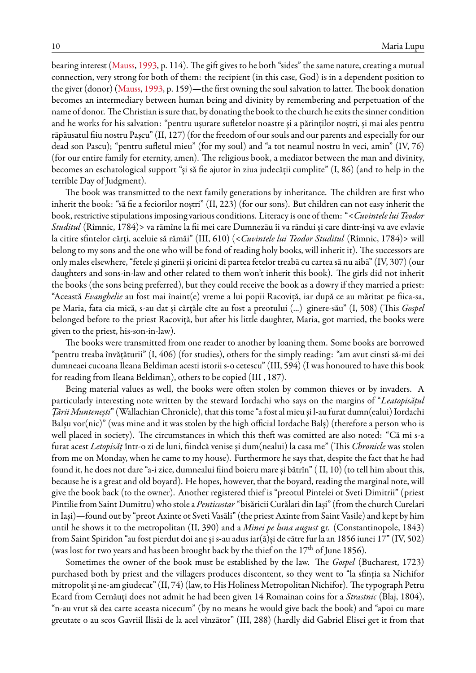bearing interest [\(Mauss](#page-15-10), [1993](#page-15-10), p. 114). The gift gives to he both "sides" the same nature, creating a mutual connection, very strong for both of them: the recipient (in this case, God) is in a dependent position to the giver (donor) [\(Mauss,](#page-15-10) [1993,](#page-15-10) p. 159)—the first owning the soul salvation to latter. The book donation becomes an intermediary between human being and divinity by remembering and perpetuation of the name of donor. The Christian is sure that, by donating the book to the church he exits the sinner condition and he works for his salvation: "pentru ușurare sufletelor noastre și a părinților noștri, și mai ales pentru răpăusatul fiiu nostru Pașcu" (II, 127) (for the freedom of our souls and our parents and especially for our dead son Pascu); "pentru sufletul mieu" (for my soul) and "a tot neamul nostru în veci, amin" (IV, 76) (for our entire family for eternity, amen). The religious book, a mediator between the man and divinity, becomes an eschatological support "și să fie ajutor în ziua judecății cumplite" (I, 86) (and to help in the terrible Day of Judgment).

The book was transmitted to the next family generations by inheritance. The children are first who inherit the book: "să fie a feciorilor noștri" (II, 223) (for our sons). But children can not easy inherit the book, restrictive stipulations imposing various conditions. Literacy is one of them: "<*Cuvintele lui Teodor Studitul* (Rîmnic, 1784)> va rămîne la fii mei care Dumnezău îi va răndui și care dintr-înși va ave evlavie la citire sfintelor cărți, aceluie să rămăi" (III, 610) (<*Cuvintele lui Teodor Studitul* (Rîmnic, 1784)> will belong to my sons and the one who will be fond of reading holy books, will inherit it). The successors are only males elsewhere, "fetele și ginerii și oricini di partea fetelor treabă cu cartea să nu aibă" (IV, 307) (our daughters and sons-in-law and other related to them won't inherit this book). The girls did not inherit the books (the sons being preferred), but they could receive the book as a dowry if they married a priest: "Această *Evanghelie* au fost mai înaint(e) vreme a lui popii Racoviță, iar după ce au măritat pe fiica-sa, pe Maria, fata cia mică, s-au dat și cărțăle cîte au fost a preotului (...) ginere-său" (I, 508) (This *Gospel* belonged before to the priest Racoviță, but after his little daughter, Maria, got married, the books were given to the priest, his-son-in-law).

The books were transmitted from one reader to another by loaning them. Some books are borrowed "pentru treaba învățăturii" (I, 406) (for studies), others for the simply reading: "am avut cinsti să-mi dei dumneaei cucoana Ileana Beldiman acesti istorii s-o cetescu" (III, 594) (I was honoured to have this book for reading from Ileana Beldiman), others to be copied (III , 187).

Being material values as well, the books were often stolen by common thieves or by invaders. A particularly interesting note written by the steward Iordachi who says on the margins of "*Leatopisățul Țării Muntenești*" (Wallachian Chronicle), that this tome "a fost al mieu și l-au furat dumn(ealui) Iordachi Balșu vor(nic)" (was mine and it was stolen by the high official Iordache Balș) (therefore a person who is well placed in society). The circumstances in which this theft was comitted are also noted: "Că mi s-a furat acest *Letopisăț* într-o zi de luni, fiindcă venise și dum(nealui) la casa me" (This *Chronicle* was stolen from me on Monday, when he came to my house). Furthermore he says that, despite the fact that he had found it, he does not dare "a-i zice, dumnealui fiind boieru mare și bătrîn" ( II, 10) (to tell him about this, because he is a great and old boyard). He hopes, however, that the boyard, reading the marginal note, will give the book back (to the owner). Another registered thief is "preotul Pintelei ot Sveti Dimitrii" (priest Pintilie from Saint Dumitru) who stole a *Penticostar*"bisăricii Curălari din Iași" (from the church Curelari in Iași)—found out by "preot Axinte ot Sveti Vasăli" (the priest Axinte from Saint Vasile) and kept by him until he shows it to the metropolitan (II, 390) and a *Minei pe luna august* gr. (Constantinopole, 1843) from Saint Spiridon "au fost pierdut doi ane și s-au adus iar(ă)și de către fur la an 1856 iunei 17" (IV, 502) (was lost for two years and has been brought back by the thief on the  $17<sup>th</sup>$  of June 1856).

Sometimes the owner of the book must be established by the law. The *Gospel* (Bucharest, 1723) purchased both by priest and the villagers produces discontent, so they went to "la sfinția sa Nichifor mitropolit și ne-am giudecat" (II, 74) (law, to His Holiness Metropolitan Nichifor). The typograph Petru Ecard from Cernăuți does not admit he had been given 14 Romainan coins for a *Strastnic* (Blaj, 1804), "n-au vrut să dea carte aceasta nicecum" (by no means he would give back the book) and "apoi cu mare greutate o au scos Gavriil Ilisăi de la acel vînzător" (III, 288) (hardly did Gabriel Elisei get it from that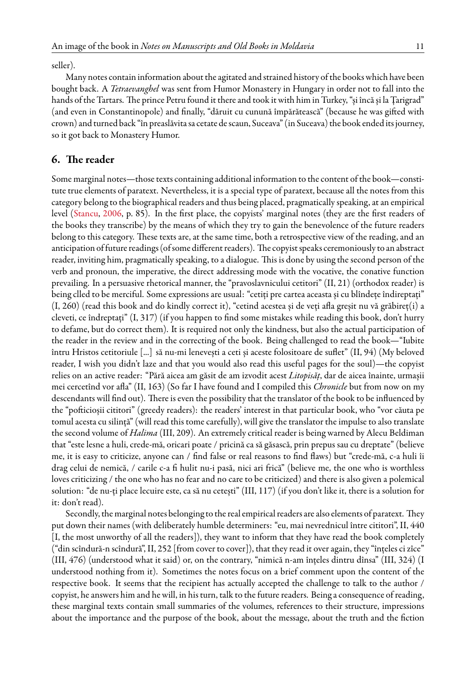seller).

Many notes contain information about the agitated and strained history of the books which have been bought back. A *Tetraevanghel* was sent from Humor Monastery in Hungary in order not to fall into the hands of the Tartars. The prince Petru found it there and took it with him in Turkey, "și încă și la Țarigrad" (and even in Constantinopole) and finally, "dăruit cu cunună împărătească" (because he was gifted with crown) and turned back "în preaslăvita sa cetate de scaun, Suceava" (in Suceava) the book ended its journey, so it got back to Monastery Humor.

#### **6. The reader**

Some marginal notes—those texts containing additional information to the content of the book—constitute true elements of paratext. Nevertheless, it is a special type of paratext, because all the notes from this category belong to the biographical readers and thus being placed, pragmatically speaking, at an empirical level [\(Stancu](#page-16-2), [2006](#page-16-2), p. 85). In the first place, the copyists' marginal notes (they are the first readers of the books they transcribe) by the means of which they try to gain the benevolence of the future readers belong to this category. These texts are, at the same time, both a retrospective view of the reading, and an anticipation offuture readings (of some different readers). The copyist speaks ceremoniously to an abstract reader, inviting him, pragmatically speaking, to a dialogue. This is done by using the second person of the verb and pronoun, the imperative, the direct addressing mode with the vocative, the conative function prevailing. In a persuasive rhetorical manner, the "pravoslavnicului cetitori" (II, 21) (orthodox reader) is being clled to be merciful. Some expressions are usual: "cetiți pre cartea aceasta și cu blîndețe îndireptați" (I, 260) (read this book and do kindly correct it), "cetind acestea și de veți afla greșit nu vă grăbireț(i) a cleveti, ce îndreptați" (I, 317) (if you happen to find some mistakes while reading this book, don't hurry to defame, but do correct them). It is required not only the kindness, but also the actual participation of the reader in the review and in the correcting of the book. Being challenged to read the book—"Iubite întru Hristos cetitoriule [...] să nu-mi lenevești a ceti și aceste folositoare de suflet" (II, 94) (My beloved reader, I wish you didn't laze and that you would also read this useful pages for the soul)—the copyist relies on an active reader: "Pără aicea am găsit de am izvodit acest *Litopisăț*, dar de aicea înainte, urmașii mei cercetînd vor afla" (II, 163) (So far I have found and I compiled this *Chronicle* but from now on my descendants will find out). There is even the possibility that the translator of the book to be influenced by the "pofticioșii cititori" (greedy readers): the readers' interest in that particular book, who "vor căuta pe tomul acesta cu silință" (will read this tome carefully), will give the translator the impulse to also translate the second volume of *Halima* (III, 209). An extremely critical reader is being warned by Alecu Beldiman that "este lesne a huli, crede-mă, oricari poate / pricină ca să găsască, prin prepus sau cu dreptate" (believe me, it is easy to criticize, anyone can / find false or real reasons to find flaws) but "crede-mă, c-a huli îi drag celui de nemică, / carile c-a fi hulit nu-i pasă, nici ari frică" (believe me, the one who is worthless loves criticizing / the one who has no fear and no care to be criticized) and there is also given a polemical solution: "de nu-ți place lecuire este, ca să nu cetești" (III, 117) (if you don't like it, there is a solution for it: don't read).

Secondly, the marginal notes belonging to the real empirical readers are also elements of paratext. They put down their names (with deliberately humble determiners: "eu, mai nevrednicul între cititori", II, 440 [I, the most unworthy of all the readers]), they want to inform that they have read the book completely ("din scîndură-n scîndură", II, 252 [from cover to cover]), that they read it over again, they "înțeles ci zîce" (III, 476) (understood what it said) or, on the contrary, "nimică n-am înțeles dintru dînsa" (III, 324) (I understood nothing from it). Sometimes the notes focus on a brief comment upon the content of the respective book. It seems that the recipient has actually accepted the challenge to talk to the author / copyist, he answers him and he will, in his turn, talk to the future readers. Being a consequence of reading, these marginal texts contain small summaries of the volumes, references to their structure, impressions about the importance and the purpose of the book, about the message, about the truth and the fiction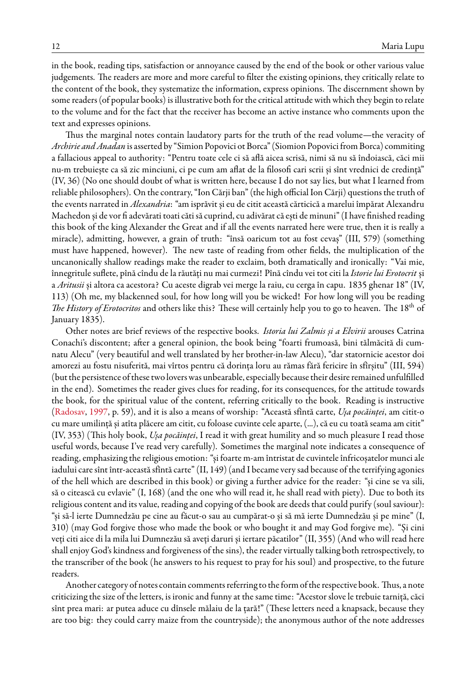in the book, reading tips, satisfaction or annoyance caused by the end of the book or other various value judgements. The readers are more and more careful to filter the existing opinions, they critically relate to the content of the book, they systematize the information, express opinions. The discernment shown by some readers (of popular books) is illustrative both for the critical attitude with which they begin to relate to the volume and for the fact that the receiver has become an active instance who comments upon the text and expresses opinions.

Thus the marginal notes contain laudatory parts for the truth of the read volume—the veracity of *Archirie and Anadan* is asserted by "Simion Popovici ot Borca" (Siomion Popovicifrom Borca) commiting a fallacious appeal to authority: "Pentru toate cele ci să află aicea scrisă, nimi să nu să îndoiască, căci mii nu-m trebuiește ca să zic minciuni, ci pe cum am aflat de la filosofi cari scrii și sînt vrednici de credință" (IV, 36) (No one should doubt of what is written here, because I do not say lies, but what I learned from reliable philosophers). On the contrary, "Ion Cărji ban" (the high official Ion Cărji) questions the truth of the events narrated in *Alexandria*: "am isprăvit și eu de citit această cărticică a marelui împărat Alexandru Machedon și de vor fi adevărati toati căti să cuprind, cu adivărat că ești de minuni" (I have finished reading this book of the king Alexander the Great and if all the events narrated here were true, then it is really a miracle), admitting, however, a grain of truth: "însă oaricum tot au fost cevaș" (III, 579) (something must have happened, however). The new taste of reading from other fields, the multiplication of the uncanonically shallow readings make the reader to exclaim, both dramatically and ironically: "Vai mie, înnegritule suflete, pînă cîndu de la răutăți nu mai curmezi! Pînă cîndu vei tot citi la*Istorie lui Erotocrit* și a *Aritusii* și altora ca acestora? Cu aceste digrab vei merge la raiu, cu cerga în capu. 1835 ghenar 18" (IV, 113) (Oh me, my blackenned soul, for how long will you be wicked! For how long will you be reading *The History of Erotocritos* and others like this? These will certainly help you to go to heaven. The 18th of January 1835).

Other notes are brief reviews of the respective books. *Istoria lui Zalmis și a Elvirii* arouses Catrina Conachi's discontent; after a general opinion, the book being "foarti frumoasă, bini tălmăcită di cumnatu Alecu" (very beautiful and well translated by her brother-in-law Alecu), "dar statornicie acestor doi amorezi au fostu nisuferită, mai vîrtos pentru că dorința loru au rămas fără fericire în sfîrșitu" (III, 594) (but the persistence of these two lovers was unbearable, especially because their desire remained unfulfilled in the end). Sometimes the reader gives clues for reading, for its consequences, for the attitude towards the book, for the spiritual value of the content, referring critically to the book. Reading is instructive ([Radosav](#page-16-0), [1997,](#page-16-0) p. 59), and it is also a means of worship: "Această sfîntă carte, *Ușa pocăinței*, am citit-o cu mare umilință și atîta plăcere am citit, cu foloase cuvinte cele aparte, (...), că eu cu toată seama am citit" (IV, 353) (This holy book, *Ușa pocăinței*, I read it with great humility and so much pleasure I read those useful words, because I've read very carefully). Sometimes the marginal note indicates a consequence of reading, emphasizing the religious emotion: "și foarte m-am întristat de cuvintele înfricoșatelor munci ale iadului care sînt într-această sfîntă carte" (II, 149) (and I became very sad because of the terrifying agonies of the hell which are described in this book) or giving a further advice for the reader: "și cine se va sili, să o citească cu evlavie" (I, 168) (and the one who will read it, he shall read with piety). Due to both its religious content and its value, reading and copying of the book are deeds that could purify (soul saviour): "și să-l ierte Dumnedzău pe cine au făcut-o sau au cumpărat-o și să mă ierte Dumnedzău și pe mine" (I, 310) (may God forgive those who made the book or who bought it and may God forgive me). "Și cini veți citi aice di la mila lui Dumnezău să aveți daruri și iertare păcatilor" (II, 355) (And who will read here shall enjoy God's kindness and forgiveness of the sins), the reader virtually talking both retrospectively, to the transcriber of the book (he answers to his request to pray for his soul) and prospective, to the future readers.

Another category of notes contain comments referring to the form of the respective book. Thus, a note criticizing the size of the letters, is ironic and funny at the same time: "Acestor slove le trebuie tarniță, căci sînt prea mari: ar putea aduce cu dînsele mălaiu de la țară!" (These letters need a knapsack, because they are too big: they could carry maize from the countryside); the anonymous author of the note addresses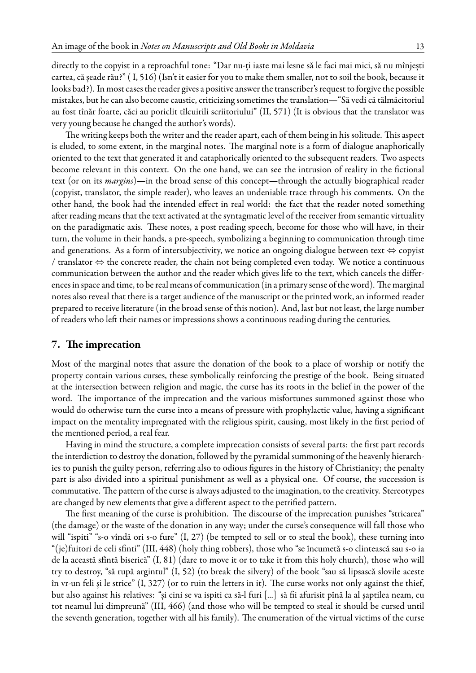directly to the copyist in a reproachful tone: "Dar nu-ți iaste mai lesne să le faci mai mici, să nu mînjești cartea, că șeade rău?" ( I, 516) (Isn't it easier for you to make them smaller, not to soil the book, because it looks bad?). In most cases the reader gives a positive answer the transcriber's request to forgive the possible mistakes, but he can also become caustic, criticizing sometimes the translation—"Să vedi că tălmăcitoriul au fost tînăr foarte, căci au poriclit tîlcuirili scriitoriului" (II, 571) (It is obvious that the translator was very young because he changed the author's words).

The writing keeps both the writer and the reader apart, each of them being in his solitude. This aspect is eluded, to some extent, in the marginal notes. The marginal note is a form of dialogue anaphorically oriented to the text that generated it and cataphorically oriented to the subsequent readers. Two aspects become relevant in this context. On the one hand, we can see the intrusion of reality in the fictional text (or on its *margins*)—in the broad sense of this concept—through the actually biographical reader (copyist, translator, the simple reader), who leaves an undeniable trace through his comments. On the other hand, the book had the intended effect in real world: the fact that the reader noted something after reading means that the text activated at the syntagmatic level of the receiver from semantic virtuality on the paradigmatic axis. These notes, a post reading speech, become for those who will have, in their turn, the volume in their hands, a pre-speech, symbolizing a beginning to communication through time and generations. As a form of intersubjectivity, we notice an ongoing dialogue between text *⇔* copyist / translator *⇔* the concrete reader, the chain not being completed even today. We notice a continuous communication between the author and the reader which gives life to the text, which cancels the differences in space and time, to be real means of communication (in a primary sense of the word). The marginal notes also reveal that there is a target audience of the manuscript or the printed work, an informed reader prepared to receive literature (in the broad sense of this notion). And, last but not least, the large number of readers who left their names or impressions shows a continuous reading during the centuries.

#### **7. The imprecation**

Most of the marginal notes that assure the donation of the book to a place of worship or notify the property contain various curses, these symbolically reinforcing the prestige of the book. Being situated at the intersection between religion and magic, the curse has its roots in the belief in the power of the word. The importance of the imprecation and the various misfortunes summoned against those who would do otherwise turn the curse into a means of pressure with prophylactic value, having a significant impact on the mentality impregnated with the religious spirit, causing, most likely in the first period of the mentioned period, a real fear.

Having in mind the structure, a complete imprecation consists of several parts: the first part records the interdiction to destroy the donation, followed by the pyramidal summoning of the heavenly hierarchies to punish the guilty person, referring also to odious figures in the history of Christianity; the penalty part is also divided into a spiritual punishment as well as a physical one. Of course, the succession is commutative. The pattern of the curse is always adjusted to the imagination, to the creativity. Stereotypes are changed by new elements that give a different aspect to the petrified pattern.

The first meaning of the curse is prohibition. The discourse of the imprecation punishes "stricarea" (the damage) or the waste of the donation in any way; under the curse's consequence will fall those who will "ispiti" "s-o vîndă ori s-o fure" (I, 27) (be tempted to sell or to steal the book), these turning into "(je)fuitori de celi sfinti" (III, 448) (holy thing robbers), those who "se încumetă s-o clintească sau s-o ia de la această sfîntă biserică" (I, 81) (dare to move it or to take it from this holy church), those who will try to destroy, "să rupă argintul" (I, 52) (to break the silvery) of the book "sau să lipsască slovile aceste în vr-un feli și le strice" (I, 327) (or to ruin the letters in it). The curse works not only against the thief, but also against his relatives: "și cini se va ispiti ca să-l furi [...] să fii afurisit pînă la al șaptilea neam, cu tot neamul lui dimpreună" (III, 466) (and those who will be tempted to steal it should be cursed until the seventh generation, together with all his family). The enumeration of the virtual victims of the curse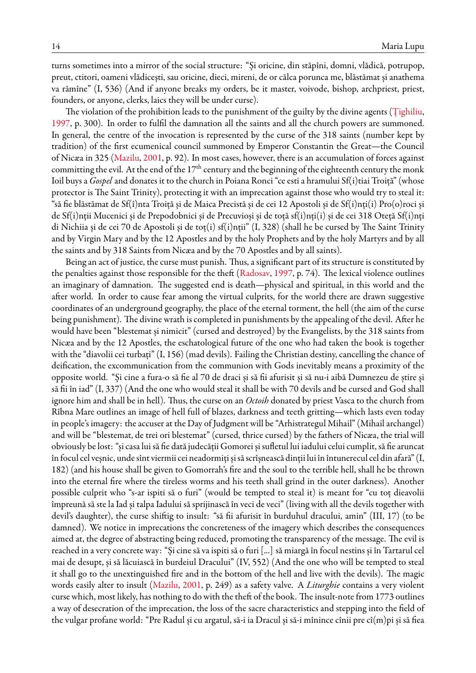turns sometimes into a mirror of the social structure: "Și oricine, din stăpîni, domni, vlădică, potrupop, preut, ctitori, oameni vlădicești, sau oricine, dieci, mireni, de or călca porunca me, blăstămat și anathema va rămîne" (I, 536) (And if anyone breaks my orders, be it master, voivode, bishop, archpriest, priest, founders, or anyone, clerks, laics they will be under curse).

The violation of the prohibition leads to the punishment of the guilty by the divine agents([Țighiliu](#page-16-5), [1997,](#page-16-5) p. 300). In order to fulfil the damnation all the saints and all the church powers are summoned. In general, the centre of the invocation is represented by the curse of the 318 saints (number kept by tradition) of the first ecumenical council summoned by Emperor Constantin the Great—the Council of Nicæa in 325([Mazilu](#page-15-9), [2001,](#page-15-9) p. 92). In most cases, however, there is an accumulation of forces against committing the evil. At the end of the  $17<sup>th</sup>$  century and the beginning of the eighteenth century the monk Ioil buys a *Gospel* and donates it to the church in Poiana Ronci "ce esti a hramului Sf(i)tiai Troiță" (whose protector is The Saint Trinity), protecting it with an imprecation against those who would try to steal it: "să fie blăstămat de Sf(î)nta Troiță și de Maica Precistă și de cei 12 Apostoli și de Sf(i)nți(i) Pro(o)roci și de Sf(i)nții Mucenici și de Prepodobnici și de Precuvioși și de toță sf(i)nți(i) și de cei 318 Oteță Sf(i)nți di Nichiia și de cei 70 de Apostoli și de toț(i) sf(i)nții" (I, 328) (shall he be cursed by The Saint Trinity and by Virgin Mary and by the 12 Apostles and by the holy Prophets and by the holy Martyrs and by all the saints and by 318 Saints from Nicæa and by the 70 Apostles and by all saints).

Being an act of justice, the curse must punish. Thus, a significant part of its structure is constituted by the penalties against those responsible for the theft([Radosav,](#page-16-0) [1997](#page-16-0), p. 74). The lexical violence outlines an imaginary of damnation. The suggested end is death—physical and spiritual, in this world and the after world. In order to cause fear among the virtual culprits, for the world there are drawn suggestive coordinates of an underground geography, the place of the eternal torment, the hell (the aim of the curse being punishment). The divine wrath is completed in punishments by the appealing of the devil. After he would have been "blestemat și nimicit" (cursed and destroyed) by the Evangelists, by the 318 saints from Nicæa and by the 12 Apostles, the eschatological future of the one who had taken the book is together with the "diavolii cei turbați" (I, 156) (mad devils). Failing the Christian destiny, cancelling the chance of deification, the excommunication from the communion with Gods inevitably means a proximity of the opposite world. "Și cine a fura-o să fie al 70 de draci și să fii afurisit și să nu-i aibă Dumnezeu de știre și să fii în iad" (I, 337) (And the one who would steal it shall be with 70 devils and be cursed and God shall ignore him and shall be in hell). Thus, the curse on an *Octoih* donated by priest Vasca to the church from Rîbna Mare outlines an image of hell full of blazes, darkness and teeth gritting—which lasts even today in people's imagery: the accuser at the Day of Judgment will be "Arhistrategul Mihail" (Mihail archangel) and will be "blestemat, de trei ori blestemat" (cursed, thrice cursed) by the fathers of Nicæa, the trial will obviously be lost: "și casa lui să fie dată judecății Gomorei și sufletul lui iadului celui cumplit, să fie aruncat înfocul cel veșnic, unde sînt viermii cei neadormiți și să scrîșnească dinții lui în întunerecul cel din afară" (I, 182) (and his house shall be given to Gomorrah's fire and the soul to the terrible hell, shall he be thrown into the eternal fire where the tireless worms and his teeth shall grind in the outer darkness). Another possible culprit who "s-ar ispiti să o furi" (would be tempted to steal it) is meant for "cu toț dieavolii împreună să ste la Iad și talpa Iadului să sprijinască în veci de veci" (living with all the devils together with devil's daughter), the curse shiftig to insult: "să fii afurisit în burduhul dracului, amin" (III, 17) (to be damned). We notice in imprecations the concreteness of the imagery which describes the consequences aimed at, the degree of abstracting being reduced, promoting the transparency of the message. The evil is reached in a very concrete way: "Și cine să va ispiti să o furi [...] să miargă în focul nestins și în Tartarul cel mai de desupt, și să lăcuiască în burdeiul Dracului" (IV, 552) (And the one who will be tempted to steal it shall go to the unextinguished fire and in the bottom of the hell and live with the devils). The magic words easily alter to insult [\(Mazilu,](#page-15-9) [2001,](#page-15-9) p. 249) as a safety valve. A *Liturghie* contains a very violent curse which, most likely, has nothing to do with the theft of the book. The insult-note from 1773 outlines a way of desecration of the imprecation, the loss of the sacre characteristics and stepping into the field of the vulgar profane world: "Pre Radul și cu argatul, să-i ia Dracul și să-i mînince cînii pre cî(m)pi și să fiea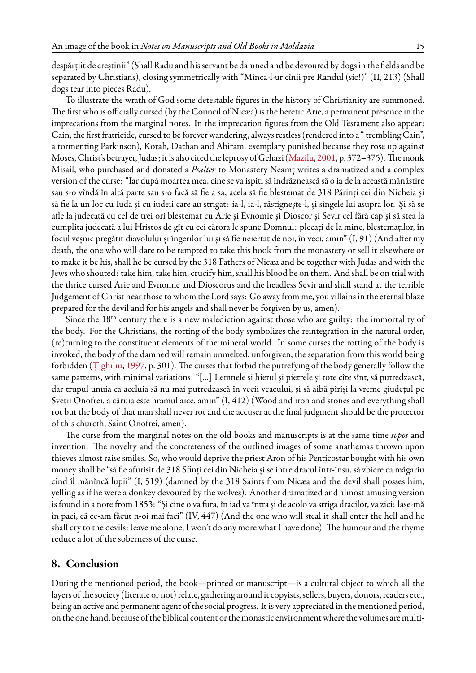despărțiit de creștinii" (Shall Radu and his servant be damned and be devoured by dogs in the fields and be separated by Christians), closing symmetrically with "Mînca-l-ur cînii pre Randul (sic!)" (II, 213) (Shall dogs tear into pieces Radu).

To illustrate the wrath of God some detestable figures in the history of Christianity are summoned. The first who is officially cursed (by the Council of Nicæa) is the heretic Arie, a permanent presence in the imprecations from the marginal notes. In the imprecation figures from the Old Testament also appear: Cain, the first fratricide, cursed to be forever wandering, always restless (rendered into a " trembling Cain", a tormenting Parkinson), Korah, Dathan and Abiram, exemplary punished because they rose up against Moses, Christ's betrayer, Judas; it is also cited the leprosy of Gehazi([Mazilu,](#page-15-9) [2001](#page-15-9), p. 372–375). The monk Misail, who purchased and donated a *Psalter* to Monastery Neamț writes a dramatized and a complex version of the curse: "Iar după moartea mea, cine se va ispiti să îndrăznească să o ia de la această mănăstire sau s-o vîndă în altă parte sau s-o facă să fie a sa, acela să fie blestemat de 318 Părinți cei din Nicheia și să fie la un loc cu Iuda și cu iudeii care au strigat: ia-l, ia-l, răstignește-l, și sîngele lui asupra lor. Și să se afle la judecată cu cel de trei ori blestemat cu Arie și Evnomie și Dioscor și Sevir cel fără cap și să stea la cumplita judecată a lui Hristos de gît cu cei cărora le spune Domnul: plecați de la mine, blestemaților, în focul veșnic pregătit diavolului și îngerilor lui și să fie neiertat de noi, în veci, amin" (I, 91) (And after my death, the one who will dare to be tempted to take this book from the monastery or sell it elsewhere or to make it be his, shall he be cursed by the 318 Fathers of Nicæa and be together with Judas and with the Jews who shouted: take him, take him, crucify him, shall his blood be on them. And shall be on trial with the thrice cursed Arie and Evnomie and Dioscorus and the headless Sevir and shall stand at the terrible Judgement of Christ near those to whom the Lord says: Go away from me, you villains in the eternal blaze prepared for the devil and for his angels and shall never be forgiven by us, amen).

Since the  $18<sup>th</sup>$  century there is a new malediction against those who are guilty: the immortality of the body. For the Christians, the rotting of the body symbolizes the reintegration in the natural order, (re)turning to the constituent elements of the mineral world. In some curses the rotting of the body is invoked, the body of the damned will remain unmelted, unforgiven, the separation from this world being forbidden([Țighiliu](#page-16-5), [1997](#page-16-5), p. 301). The curses that forbid the putrefying of the body generally follow the same patterns, with minimal variations: "[...] Lemnele și hierul și pietrele și tote cîte sînt, să putredzască, dar trupul unuia ca aceluia să nu mai putredzască în vecii veacului, și să aibă pîrîși la vreme giudețul pe Svetii Onofrei, a căruia este hramul aice, amin" (I, 412) (Wood and iron and stones and everything shall rot but the body of that man shall never rot and the accuser at the final judgment should be the protector of this churcth, Saint Onofrei, amen).

The curse from the marginal notes on the old books and manuscripts is at the same time *topos* and invention. The novelty and the concreteness of the outlined images of some anathemas thrown upon thieves almost raise smiles. So, who would deprive the priest Aron of his Penticostar bought with his own money shall be "să fie afurisit de 318 Sfinți cei din Nicheia și se intre dracul într-însu, să zbiere ca măgariu cînd îl mănîncă lupii" (I, 519) (damned by the 318 Saints from Nicæa and the devil shall posses him, yelling as if he were a donkey devoured by the wolves). Another dramatized and almost amusing version is found in a note from 1853: "Și cine o va fura, în iad va întra și de acolo va striga dracilor, va zici: lase-mă în paci, că ce-am făcut n-oi mai faci" (IV, 447) (And the one who will steal it shall enter the hell and he shall cry to the devils: leave me alone, I won't do any more what I have done). The humour and the rhyme reduce a lot of the soberness of the curse.

### **8. Conclusion**

During the mentioned period, the book—printed or manuscript—is a cultural object to which all the layers of the society (literate or not) relate, gathering around it copyists, sellers, buyers, donors, readers etc., being an active and permanent agent of the social progress. It is very appreciated in the mentioned period, on the one hand, because of the biblical content or the monastic environment where the volumes are multi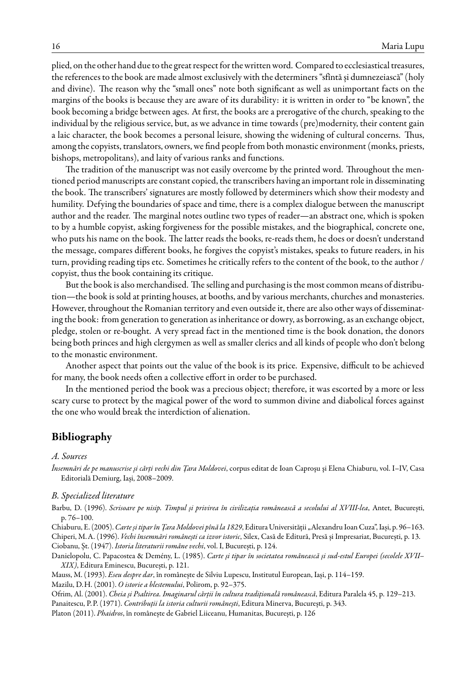plied, on the other hand due to the great respect for the written word. Compared to ecclesiastical treasures, the references to the book are made almost exclusively with the determiners "sfîntă și dumnezeiască" (holy and divine). The reason why the "small ones" note both significant as well as unimportant facts on the margins of the books is because they are aware of its durability: it is written in order to "be known", the book becoming a bridge between ages. At first, the books are a prerogative of the church, speaking to the individual by the religious service, but, as we advance in time towards (pre)modernity, their content gain a laic character, the book becomes a personal leisure, showing the widening of cultural concerns. Thus, among the copyists, translators, owners, we find people from both monastic environment (monks, priests, bishops, metropolitans), and laity of various ranks and functions.

The tradition of the manuscript was not easily overcome by the printed word. Throughout the mentioned period manuscripts are constant copied, the transcribers having an important role in disseminating the book. The transcribers' signatures are mostly followed by determiners which show their modesty and humility. Defying the boundaries of space and time, there is a complex dialogue between the manuscript author and the reader. The marginal notes outline two types of reader—an abstract one, which is spoken to by a humble copyist, asking forgiveness for the possible mistakes, and the biographical, concrete one, who puts his name on the book. The latter reads the books, re-reads them, he does or doesn't understand the message, compares different books, he forgives the copyist's mistakes, speaks to future readers, in his turn, providing reading tips etc. Sometimes he critically refers to the content of the book, to the author / copyist, thus the book containing its critique.

But the book is also merchandised. The selling and purchasing is the most common means of distribution—the book is sold at printing houses, at booths, and by various merchants, churches and monasteries. However, throughout the Romanian territory and even outside it, there are also other ways of disseminating the book: from generation to generation as inheritance or dowry, as borrowing, as an exchange object, pledge, stolen or re-bought. A very spread fact in the mentioned time is the book donation, the donors being both princes and high clergymen as well as smaller clerics and all kinds of people who don't belong to the monastic environment.

Another aspect that points out the value of the book is its price. Expensive, difficult to be achieved for many, the book needs often a collective effort in order to be purchased.

In the mentioned period the book was a precious object; therefore, it was escorted by a more or less scary curse to protect by the magical power of the word to summon divine and diabolical forces against the one who would break the interdiction of alienation.

### **Bibliography**

#### *A. Sources*

*Însemnări de pe manuscrise şi cărţi vechi din Ţara Moldovei*, corpus editat de Ioan Caproşu şi Elena Chiaburu, vol. I–IV, Casa Editorială Demiurg, Iași, 2008–2009.

#### <span id="page-15-0"></span>*B. Specialized literature*

<span id="page-15-4"></span>Barbu, D. (1996). *Scrisoare pe nisip. Timpul și privirea în civilizația românească a secolului al XVIII-lea*, Antet, București, p. 76–100.

<span id="page-15-7"></span><span id="page-15-2"></span>Chiaburu, E. (2005). *Carte și tipar în Țara Moldovei pînă la 1829*, Editura Universității "Alexandru Ioan Cuza", Iași, p. 96–163. Chiperi, M.A. (1996). *Vechi însemnări românești ca izvor istoric*, Silex, Casă de Editură, Presă și Impresariat, București, p. 13. Ciobanu, Șt. (1947). *Istoria literaturii române vechi*, vol. I, București, p. 124.

<span id="page-15-8"></span><span id="page-15-6"></span>Danielopolu, C. Papacostea & Demény, L. (1985). *Carte și tipar în societatea românească și sud-estul Europei (secolele XVII– XIX)*, Editura Eminescu, București, p. 121.

<span id="page-15-10"></span>Mauss, M. (1993). *Eseu despre dar*, în românește de Silviu Lupescu, Institutul European, Iași, p. 114–159.

<span id="page-15-9"></span><span id="page-15-3"></span>Mazilu, D.H. (2001). *O istorie a blestemului*, Polirom, p. 92–375.

Ofrim, Al. (2001). *Cheia și Psaltirea. Imaginarul cărții în cultura tradițională românească*, Editura Paralela 45, p. 129–213.

<span id="page-15-5"></span>Panaitescu, P.P. (1971). *Contribuții la istoria culturii românești*, Editura Minerva, București, p. 343.

<span id="page-15-1"></span>Platon (2011). *Phaidros*, în românește de Gabriel Liiceanu, Humanitas, București, p. 126